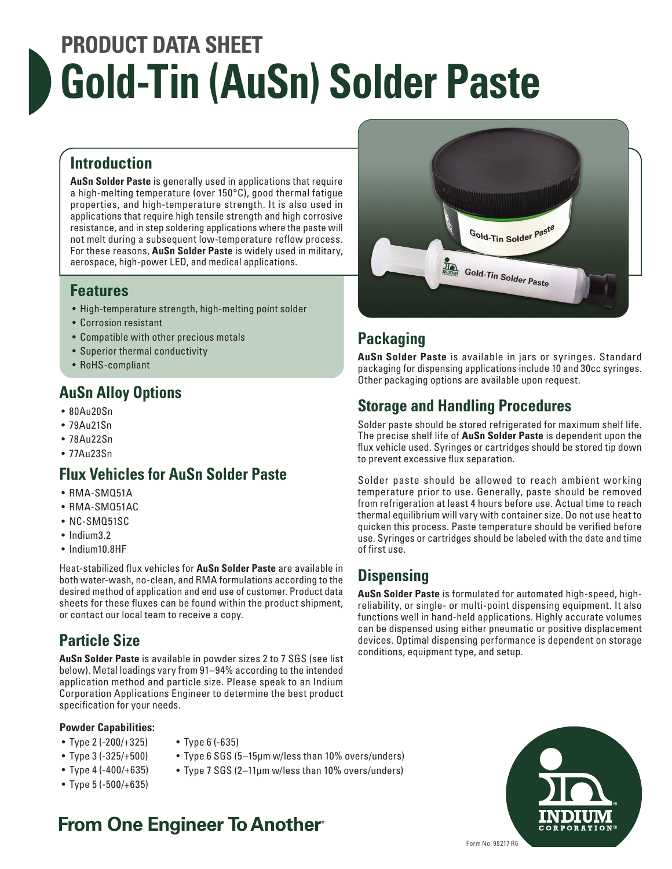# **PRODUCT DATA SHEET Gold-Tin (AuSn) Solder Paste**

#### **Introduction**

**AuSn Solder Paste** is generally used in applications that require a high-melting temperature (over 150°C), good thermal fatigue properties, and high-temperature strength. It is also used in applications that require high tensile strength and high corrosive resistance, and in step soldering applications where the paste will not melt during a subsequent low-temperature reflow process. For these reasons, **AuSn Solder Paste** is widely used in military, aerospace, high-power LED, and medical applications.

#### **Features**

- High-temperature strength, high-melting point solder
- Corrosion resistant
- Compatible with other precious metals
- Superior thermal conductivity
- RoHS-compliant

### **AuSn Alloy Options**

- 80Au20Sn
- 79Au21Sn
- 78Au22Sn
- 77Au23Sn

#### **Flux Vehicles for AuSn Solder Paste**

- RMA-SMQ51A
- RMA-SMQ51AC
- NC-SMQ51SC
- Indium3.2
- Indium10.8HF

Heat-stabilized flux vehicles for **AuSn Solder Paste** are available in both water-wash, no-clean, and RMA formulations according to the desired method of application and end use of customer. Product data sheets for these fluxes can be found within the product shipment, or contact our local team to receive a copy.

## **Particle Size**

**AuSn Solder Paste** is available in powder sizes 2 to 7 SGS (see list below). Metal loadings vary from 91–94% according to the intended application method and particle size. Please speak to an Indium Corporation Applications Engineer to determine the best product specification for your needs.

#### **Powder Capabilities:**

- Type 2 (-200/+325)
- Type 3 (-325/+500)
- Type 4 (-400/+635)
- Type 5 (-500/+635)
- Type 6 (-635)
- Type 6 SGS (5–15μm w/less than 10% overs/unders)
- Type 7 SGS (2–11μm w/less than 10% overs/unders)

## **From One Engineer To Another**



## **Packaging**

**AuSn Solder Paste** is available in jars or syringes. Standard packaging for dispensing applications include 10 and 30cc syringes. Other packaging options are available upon request.

#### **Storage and Handling Procedures**

Solder paste should be stored refrigerated for maximum shelf life. The precise shelf life of **AuSn Solder Paste** is dependent upon the flux vehicle used. Syringes or cartridges should be stored tip down to prevent excessive flux separation.

Solder paste should be allowed to reach ambient working temperature prior to use. Generally, paste should be removed from refrigeration at least 4 hours before use. Actual time to reach thermal equilibrium will vary with container size. Do not use heat to quicken this process. Paste temperature should be verified before use. Syringes or cartridges should be labeled with the date and time of first use.

#### **Dispensing**

**AuSn Solder Paste** is formulated for automated high-speed, highreliability, or single- or multi-point dispensing equipment. It also functions well in hand-held applications. Highly accurate volumes can be dispensed using either pneumatic or positive displacement devices. Optimal dispensing performance is dependent on storage conditions, equipment type, and setup.